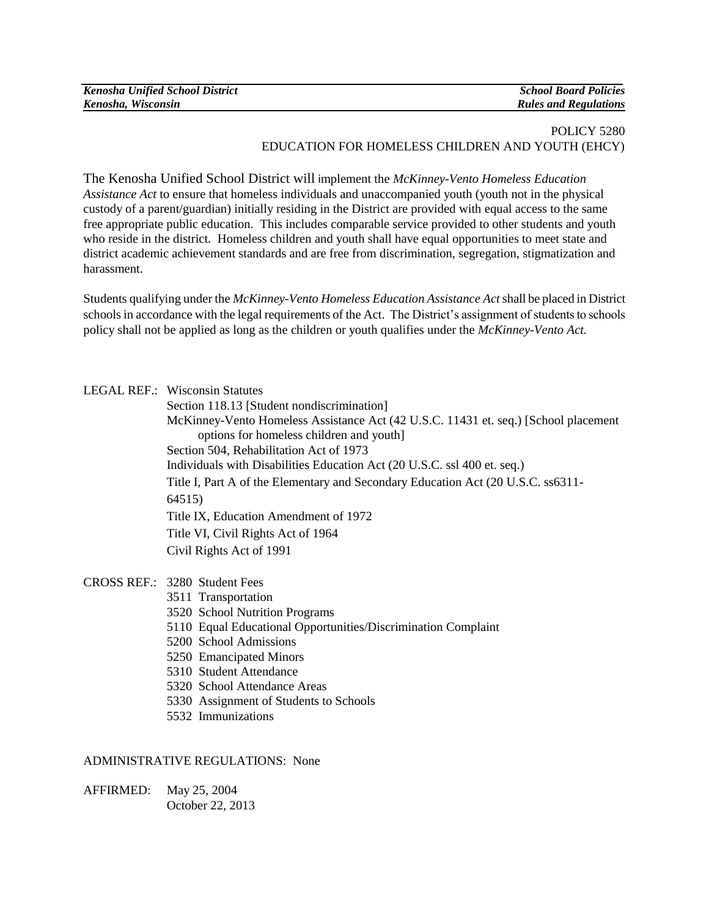| <b>Kenosha Unified School District</b> | <b>School Board Policies</b> |
|----------------------------------------|------------------------------|
| Kenosha, Wisconsin                     | <b>Rules and Regulations</b> |

## POLICY 5280 EDUCATION FOR HOMELESS CHILDREN AND YOUTH (EHCY)

The Kenosha Unified School District will implement the *McKinney-Vento Homeless Education Assistance Act* to ensure that homeless individuals and unaccompanied youth (youth not in the physical custody of a parent/guardian) initially residing in the District are provided with equal access to the same free appropriate public education. This includes comparable service provided to other students and youth who reside in the district. Homeless children and youth shall have equal opportunities to meet state and district academic achievement standards and are free from discrimination, segregation, stigmatization and harassment.

Students qualifying under the *McKinney-Vento Homeless Education Assistance Act* shall be placed in District schools in accordance with the legal requirements of the Act. The District's assignment of students to schools policy shall not be applied as long as the children or youth qualifies under the *McKinney-Vento Act.*

## LEGAL REF.: Wisconsin Statutes

| Section 118.13 [Student nondiscrimination]                                          |
|-------------------------------------------------------------------------------------|
| McKinney-Vento Homeless Assistance Act (42 U.S.C. 11431 et. seq.) [School placement |
| options for homeless children and youth]                                            |
| Section 504, Rehabilitation Act of 1973                                             |
| Individuals with Disabilities Education Act (20 U.S.C. ssl 400 et. seq.)            |
| Title I, Part A of the Elementary and Secondary Education Act (20 U.S.C. ss6311-    |
| 64515)                                                                              |
| Title IX, Education Amendment of 1972                                               |
| Title VI, Civil Rights Act of 1964                                                  |
| Civil Rights Act of 1991                                                            |
|                                                                                     |

- CROSS REF.: 3280 Student Fees
	- 3511 Transportation
	- 3520 School Nutrition Programs
	- 5110 Equal Educational Opportunities/Discrimination Complaint
	- 5200 School Admissions
	- 5250 Emancipated Minors
	- 5310 Student Attendance
	- 5320 School Attendance Areas
	- 5330 Assignment of Students to Schools
	- 5532 Immunizations

## ADMINISTRATIVE REGULATIONS: None

AFFIRMED: May 25, 2004 October 22, 2013